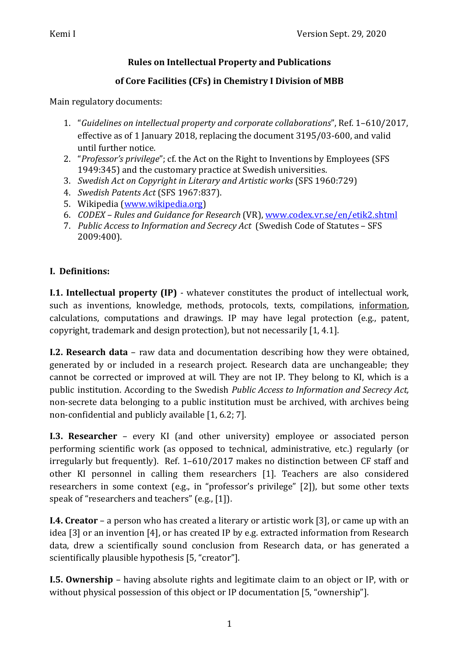### **Rules on Intellectual Property and Publications**

# of Core Facilities (CFs) in Chemistry I Division of MBB

Main regulatory documents:

- 1. "Guidelines on intellectual property and corporate collaborations", Ref. 1-610/2017, effective as of 1 January 2018, replacing the document 3195/03-600, and valid until further notice.
- 2. *"Professor's privilege"*; cf. the Act on the Right to Inventions by Employees (SFS 1949:345) and the customary practice at Swedish universities.
- 3. *Swedish Act on Copyright in Literary and Artistic works* (SFS 1960:729)
- 4. *Swedish Patents Act* (SFS 1967:837).
- 5. Wikipedia (www.wikipedia.org)
- 6. *CODEX* Rules and Guidance for Research (VR), www.codex.vr.se/en/etik2.shtml
- 7. Public Access to Information and Secrecy Act (Swedish Code of Statutes SFS 2009:400).

# **I. Definitions:**

**I.1. Intellectual property (IP)** - whatever constitutes the product of intellectual work, such as inventions, knowledge, methods, protocols, texts, compilations, information, calculations, computations and drawings. IP may have legal protection (e.g., patent, copyright, trademark and design protection), but not necessarily [1, 4.1].

**I.2. Research data** – raw data and documentation describing how they were obtained, generated by or included in a research project. Research data are unchangeable; they cannot be corrected or improved at will. They are not IP. They belong to KI, which is a public institution. According to the Swedish *Public Access to Information and Secrecy Act*, non-secrete data belonging to a public institution must be archived, with archives being non-confidential and publicly available  $[1, 6.2; 7]$ .

**I.3. Researcher** – every KI (and other university) employee or associated person performing scientific work (as opposed to technical, administrative, etc.) regularly (or irregularly but frequently). Ref.  $1-610/2017$  makes no distinction between CF staff and other KI personnel in calling them researchers [1]. Teachers are also considered researchers in some context (e.g., in "professor's privilege" [2]), but some other texts speak of "researchers and teachers" (e.g., [1]).

**I.4. Creator** – a person who has created a literary or artistic work [3], or came up with an idea [3] or an invention [4], or has created IP by e.g. extracted information from Research data, drew a scientifically sound conclusion from Research data, or has generated a scientifically plausible hypothesis [5, "creator"].

**I.5. Ownership** – having absolute rights and legitimate claim to an object or IP, with or without physical possession of this object or IP documentation [5, "ownership"].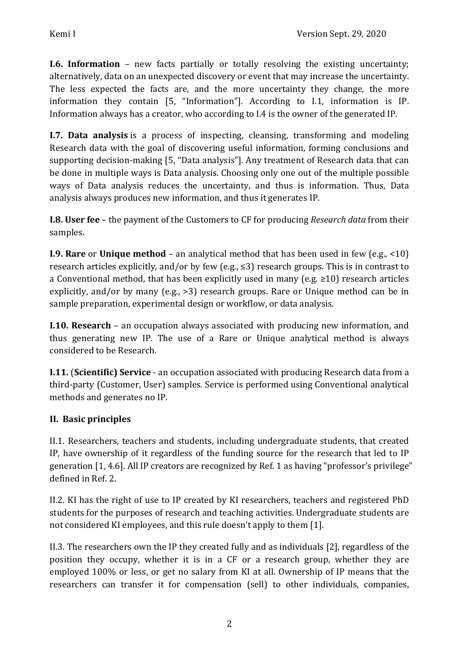**I.6. Information** – new facts partially or totally resolving the existing uncertainty; alternatively, data on an unexpected discovery or event that may increase the uncertainty. The less expected the facts are, and the more uncertainty they change, the more information they contain [5, "Information"]. According to I.1, information is IP. Information always has a creator, who according to I.4 is the owner of the generated IP.

**I.7. Data analysis** is a process of inspecting, cleansing, transforming and modeling Research data with the goal of discovering useful information, forming conclusions and supporting decision-making [5, "Data analysis"]. Any treatment of Research data that can be done in multiple ways is Data analysis. Choosing only one out of the multiple possible ways of Data analysis reduces the uncertainty, and thus is information. Thus, Data analysis always produces new information, and thus it generates IP.

**I.8. User fee** – the payment of the Customers to CF for producing *Research data* from their samples.

**I.9. Rare** or **Unique method** – an analytical method that has been used in few (e.g., <10) research articles explicitly, and/or by few (e.g.,  $\leq$ 3) research groups. This is in contrast to a Conventional method, that has been explicitly used in many  $(e.g. \ge 10)$  research articles explicitly, and/or by many  $(e.g., >3)$  research groups. Rare or Unique method can be in sample preparation, experimental design or workflow, or data analysis.

**I.10. Research** – an occupation always associated with producing new information, and thus generating new IP. The use of a Rare or Unique analytical method is always considered to be Research.

**I.11. (Scientific) Service** - an occupation associated with producing Research data from a third-party (Customer, User) samples. Service is performed using Conventional analytical methods and generates no IP.

### **II. Basic principles**

II.1. Researchers, teachers and students, including undergraduate students, that created IP, have ownership of it regardless of the funding source for the research that led to IP generation [1, 4.6]. All IP creators are recognized by Ref. 1 as having "professor's privilege" defined in Ref. 2.

II.2. KI has the right of use to IP created by KI researchers, teachers and registered PhD students for the purposes of research and teaching activities. Undergraduate students are not considered KI employees, and this rule doesn't apply to them [1].

II.3. The researchers own the IP they created fully and as individuals [2], regardless of the position they occupy, whether it is in a CF or a research group, whether they are employed 100% or less, or get no salary from KI at all. Ownership of IP means that the researchers can transfer it for compensation (sell) to other individuals, companies,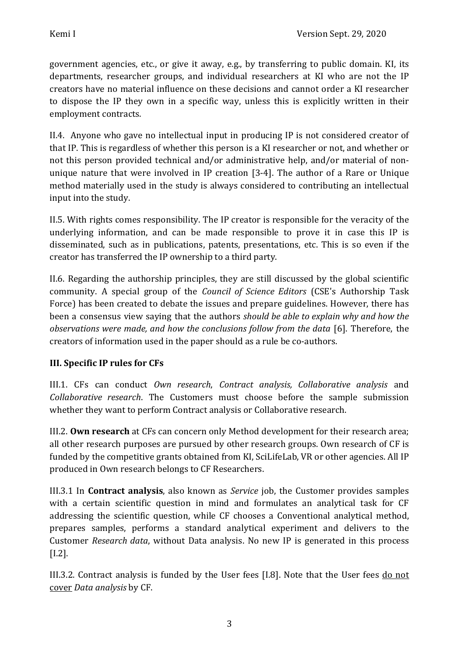government agencies, etc., or give it away, e.g., by transferring to public domain. KI, its departments, researcher groups, and individual researchers at KI who are not the IP creators have no material influence on these decisions and cannot order a KI researcher to dispose the IP they own in a specific way, unless this is explicitly written in their employment contracts.

II.4. Anyone who gave no intellectual input in producing IP is not considered creator of that IP. This is regardless of whether this person is a KI researcher or not, and whether or not this person provided technical and/or administrative help, and/or material of nonunique nature that were involved in IP creation  $[3-4]$ . The author of a Rare or Unique method materially used in the study is always considered to contributing an intellectual input into the study.

II.5. With rights comes responsibility. The IP creator is responsible for the veracity of the underlying information, and can be made responsible to prove it in case this IP is disseminated, such as in publications, patents, presentations, etc. This is so even if the creator has transferred the IP ownership to a third party.

II.6. Regarding the authorship principles, they are still discussed by the global scientific community. A special group of the *Council of Science Editors* (CSE's Authorship Task Force) has been created to debate the issues and prepare guidelines. However, there has been a consensus view saying that the authors *should be able to explain why and how the observations were made, and how the conclusions follow from the data* [6]. Therefore, the creators of information used in the paper should as a rule be co-authors.

### **III.** Specific IP rules for CFs

III.1. CFs can conduct *Own research*, *Contract analysis, Collaborative analysis* and *Collaborative research*. The Customers must choose before the sample submission whether they want to perform Contract analysis or Collaborative research.

III.2. **Own research** at CFs can concern only Method development for their research area; all other research purposes are pursued by other research groups. Own research of CF is funded by the competitive grants obtained from KI, SciLifeLab, VR or other agencies. All IP produced in Own research belongs to CF Researchers.

III.3.1 In **Contract analysis**, also known as *Service* job, the Customer provides samples with a certain scientific question in mind and formulates an analytical task for CF addressing the scientific question, while CF chooses a Conventional analytical method, prepares samples, performs a standard analytical experiment and delivers to the Customer *Research data*, without Data analysis. No new IP is generated in this process [I.2].

III.3.2. Contract analysis is funded by the User fees [I.8]. Note that the User fees do not cover *Data analysis* by CF.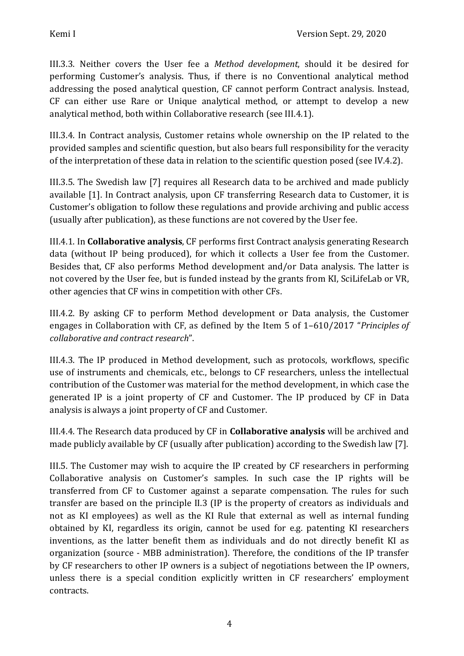III.3.3. Neither covers the User fee a *Method development*, should it be desired for performing Customer's analysis. Thus, if there is no Conventional analytical method addressing the posed analytical question, CF cannot perform Contract analysis. Instead, CF can either use Rare or Unique analytical method, or attempt to develop a new analytical method, both within Collaborative research (see III.4.1).

III.3.4. In Contract analysis, Customer retains whole ownership on the IP related to the provided samples and scientific question, but also bears full responsibility for the veracity of the interpretation of these data in relation to the scientific question posed (see IV.4.2).

III.3.5. The Swedish law [7] requires all Research data to be archived and made publicly available [1]. In Contract analysis, upon CF transferring Research data to Customer, it is Customer's obligation to follow these regulations and provide archiving and public access (usually after publication), as these functions are not covered by the User fee.

III.4.1. In **Collaborative analysis**, CF performs first Contract analysis generating Research data (without IP being produced), for which it collects a User fee from the Customer. Besides that, CF also performs Method development and/or Data analysis. The latter is not covered by the User fee, but is funded instead by the grants from KI, SciLifeLab or VR, other agencies that CF wins in competition with other CFs.

III.4.2. By asking CF to perform Method development or Data analysis, the Customer engages in Collaboration with CF, as defined by the Item 5 of 1-610/2017 "*Principles of collaborative and contract research*".

III.4.3. The IP produced in Method development, such as protocols, workflows, specific use of instruments and chemicals, etc., belongs to CF researchers, unless the intellectual contribution of the Customer was material for the method development, in which case the generated IP is a joint property of CF and Customer. The IP produced by CF in Data analysis is always a joint property of CF and Customer.

III.4.4. The Research data produced by CF in **Collaborative analysis** will be archived and made publicly available by CF (usually after publication) according to the Swedish law [7].

III.5. The Customer may wish to acquire the IP created by CF researchers in performing Collaborative analysis on Customer's samples. In such case the IP rights will be transferred from CF to Customer against a separate compensation. The rules for such transfer are based on the principle II.3 (IP is the property of creators as individuals and not as KI employees) as well as the KI Rule that external as well as internal funding obtained by KI, regardless its origin, cannot be used for e.g. patenting KI researchers inventions, as the latter benefit them as individuals and do not directly benefit KI as organization (source - MBB administration). Therefore, the conditions of the IP transfer by CF researchers to other IP owners is a subject of negotiations between the IP owners, unless there is a special condition explicitly written in CF researchers' employment contracts.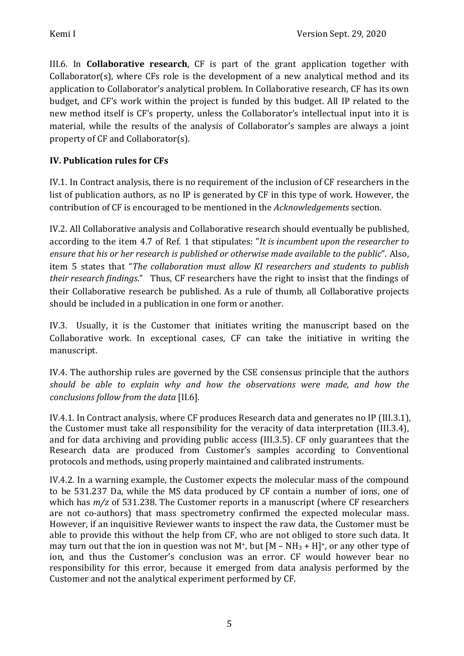III.6. In **Collaborative research**, CF is part of the grant application together with Collaborator(s), where  $CFs$  role is the development of a new analytical method and its application to Collaborator's analytical problem. In Collaborative research, CF has its own budget, and CF's work within the project is funded by this budget. All IP related to the new method itself is CF's property, unless the Collaborator's intellectual input into it is material, while the results of the analysis of Collaborator's samples are always a joint property of  $CF$  and Collaborator(s).

## **IV. Publication rules for CFs**

IV.1. In Contract analysis, there is no requirement of the inclusion of CF researchers in the list of publication authors, as no IP is generated by  $CF$  in this type of work. However, the contribution of CF is encouraged to be mentioned in the *Acknowledgements* section.

IV.2. All Collaborative analysis and Collaborative research should eventually be published, according to the item 4.7 of Ref. 1 that stipulates: "It is incumbent upon the researcher to ensure that his or her research is published or otherwise made available to the public". Also, item 5 states that "The collaboration must allow KI researchers and students to publish *their research findings.*" Thus, CF researchers have the right to insist that the findings of their Collaborative research be published. As a rule of thumb, all Collaborative projects should be included in a publication in one form or another.

IV.3. Usually, it is the Customer that initiates writing the manuscript based on the Collaborative work. In exceptional cases, CF can take the initiative in writing the manuscript. 

IV.4. The authorship rules are governed by the CSE consensus principle that the authors should be able to explain why and how the observations were made, and how the *conclusions follow from the data* [II.6]. 

IV.4.1. In Contract analysis, where CF produces Research data and generates no IP (III.3.1), the Customer must take all responsibility for the veracity of data interpretation (III.3.4), and for data archiving and providing public access (III.3.5). CF only guarantees that the Research data are produced from Customer's samples according to Conventional protocols and methods, using properly maintained and calibrated instruments.

IV.4.2. In a warning example, the Customer expects the molecular mass of the compound to be 531.237 Da, while the MS data produced by CF contain a number of ions, one of which has  $m/z$  of 531.238. The Customer reports in a manuscript (where CF researchers are not co-authors) that mass spectrometry confirmed the expected molecular mass. However, if an inquisitive Reviewer wants to inspect the raw data, the Customer must be able to provide this without the help from CF, who are not obliged to store such data. It may turn out that the ion in question was not M<sup>+</sup>, but  $[M - NH_3 + H]^+$ , or any other type of ion, and thus the Customer's conclusion was an error. CF would however bear no responsibility for this error, because it emerged from data analysis performed by the Customer and not the analytical experiment performed by CF.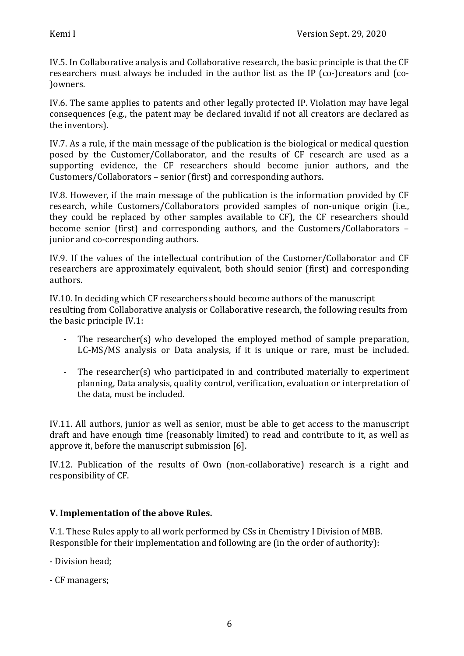IV.5. In Collaborative analysis and Collaborative research, the basic principle is that the CF researchers must always be included in the author list as the IP (co-)creators and (co-)owners. 

IV.6. The same applies to patents and other legally protected IP. Violation may have legal consequences (e.g., the patent may be declared invalid if not all creators are declared as the inventors).

IV.7. As a rule, if the main message of the publication is the biological or medical question posed by the Customer/Collaborator, and the results of CF research are used as a supporting evidence, the CF researchers should become junior authors, and the Customers/Collaborators – senior (first) and corresponding authors.

IV.8. However, if the main message of the publication is the information provided by CF research, while Customers/Collaborators provided samples of non-unique origin (i.e., they could be replaced by other samples available to CF), the CF researchers should become senior (first) and corresponding authors, and the Customers/Collaborators  $$ junior and co-corresponding authors.

IV.9. If the values of the intellectual contribution of the Customer/Collaborator and CF researchers are approximately equivalent, both should senior (first) and corresponding authors. 

IV.10. In deciding which CF researchers should become authors of the manuscript resulting from Collaborative analysis or Collaborative research, the following results from the basic principle  $IV.1$ :

- The researcher(s) who developed the employed method of sample preparation, LC-MS/MS analysis or Data analysis, if it is unique or rare, must be included.
- The researcher(s) who participated in and contributed materially to experiment planning, Data analysis, quality control, verification, evaluation or interpretation of the data, must be included.

IV.11. All authors, junior as well as senior, must be able to get access to the manuscript draft and have enough time (reasonably limited) to read and contribute to it, as well as approve it, before the manuscript submission [6].

IV.12. Publication of the results of Own (non-collaborative) research is a right and responsibility of CF.

#### **V. Implementation of the above Rules.**

V.1. These Rules apply to all work performed by CSs in Chemistry I Division of MBB. Responsible for their implementation and following are (in the order of authority):

- Division head:
- CF managers: